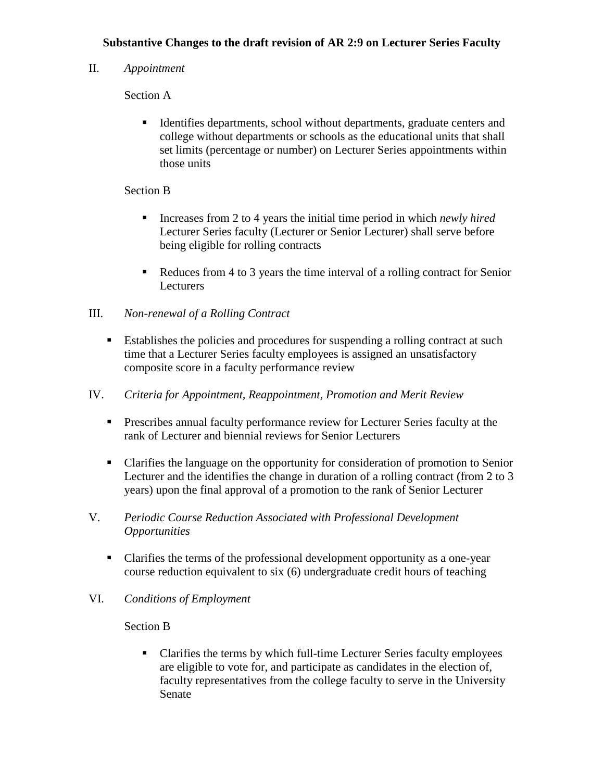# **Substantive Changes to the draft revision of AR 2:9 on Lecturer Series Faculty**

II. *Appointment*

# Section A

 Identifies departments, school without departments, graduate centers and college without departments or schools as the educational units that shall set limits (percentage or number) on Lecturer Series appointments within those units

# Section B

- Increases from 2 to 4 years the initial time period in which *newly hired* Lecturer Series faculty (Lecturer or Senior Lecturer) shall serve before being eligible for rolling contracts
- Reduces from 4 to 3 years the time interval of a rolling contract for Senior **Lecturers**

# III. *Non-renewal of a Rolling Contract*

- Establishes the policies and procedures for suspending a rolling contract at such time that a Lecturer Series faculty employees is assigned an unsatisfactory composite score in a faculty performance review
- IV. *Criteria for Appointment, Reappointment, Promotion and Merit Review*
	- **Prescribes annual faculty performance review for Lecturer Series faculty at the** rank of Lecturer and biennial reviews for Senior Lecturers
	- Clarifies the language on the opportunity for consideration of promotion to Senior Lecturer and the identifies the change in duration of a rolling contract (from 2 to 3 years) upon the final approval of a promotion to the rank of Senior Lecturer
- V. *Periodic Course Reduction Associated with Professional Development Opportunities*
	- Clarifies the terms of the professional development opportunity as a one-year course reduction equivalent to six (6) undergraduate credit hours of teaching
- VI. *Conditions of Employment*

# Section B

• Clarifies the terms by which full-time Lecturer Series faculty employees are eligible to vote for, and participate as candidates in the election of, faculty representatives from the college faculty to serve in the University Senate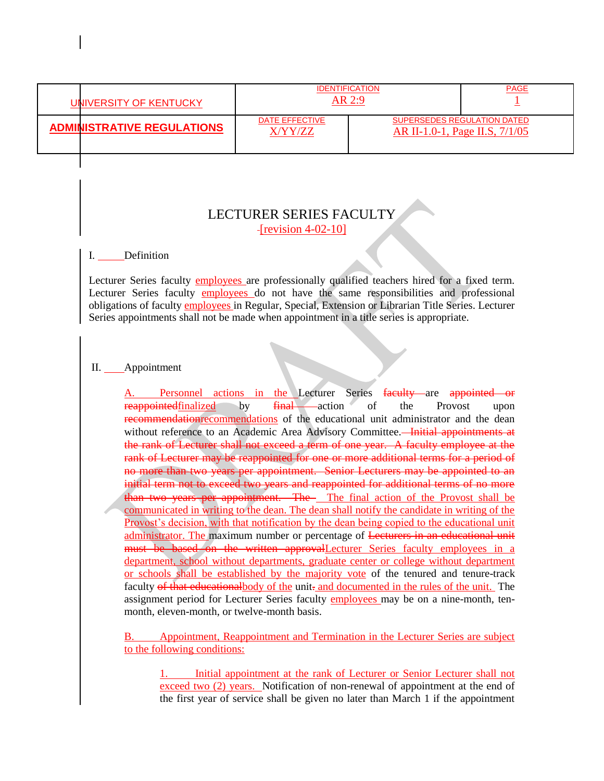| UNIVERSITY OF KENTUCKY            | <b>IDENTIFICATION</b><br>AR 2:9 |  | <b>PAGE</b>                                                   |
|-----------------------------------|---------------------------------|--|---------------------------------------------------------------|
| <b>ADMINISTRATIVE REGULATIONS</b> | DATE EFFECTIVE<br>X/YY/77.      |  | SUPERSEDES REGULATION DATED<br>AR II-1.0-1, Page II.S, 7/1/05 |

# LECTURER SERIES FACULTY  $-$ [revision 4-02-10]

#### I. Definition

Lecturer Series faculty employees are professionally qualified teachers hired for a fixed term. Lecturer Series faculty **employees** do not have the same responsibilities and professional obligations of faculty employees in Regular, Special, Extension or Librarian Title Series. Lecturer Series appointments shall not be made when appointment in a title series is appropriate.

#### II. Appointment

Personnel actions in the Lecturer Series faculty are appointed reappointed finalized by final action of the Provost upon recommendationrecommendations of the educational unit administrator and the dean without reference to an Academic Area Advisory Committee.—Initial appointments at the rank of Lecturer shall not exceed a term of one year. A faculty employee at the rank of Lecturer may be reappointed for one or more additional terms for a period of no more than two years per appointment. Senior Lecturers may be appointed to an initial term not to exceed two years and reappointed for additional terms of no more than two years per appointment. The The final action of the Provost shall be communicated in writing to the dean. The dean shall notify the candidate in writing of the Provost's decision, with that notification by the dean being copied to the educational unit administrator. The maximum number or percentage of Lecturers in an educational unit must be based on the written approvalLecturer Series faculty employees in a department, school without departments, graduate center or college without department or schools shall be established by the majority vote of the tenured and tenure-track faculty of that educationalbody of the unit- and documented in the rules of the unit. The assignment period for Lecturer Series faculty employees may be on a nine-month, tenmonth, eleven-month, or twelve-month basis.

Appointment, Reappointment and Termination in the Lecturer Series are subject to the following conditions:

1. Initial appointment at the rank of Lecturer or Senior Lecturer shall not exceed two (2) years. Notification of non-renewal of appointment at the end of the first year of service shall be given no later than March 1 if the appointment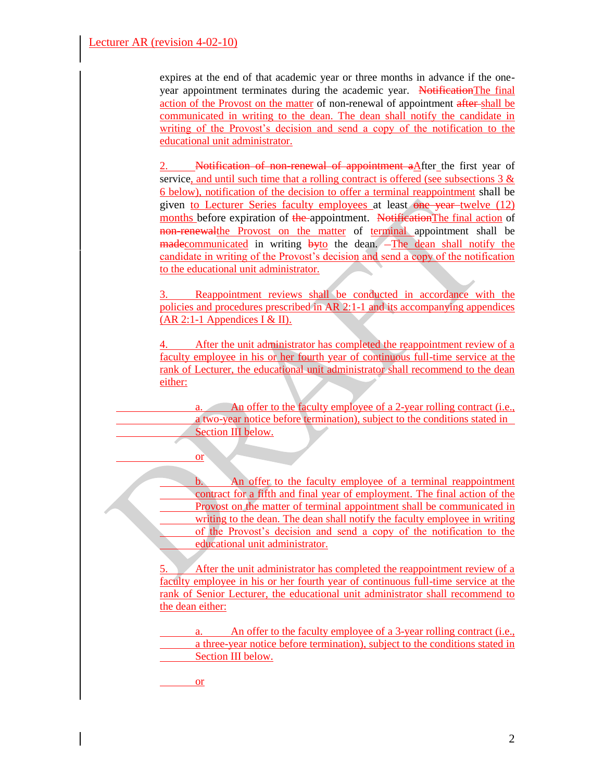### Lecturer AR (revision 4-02-10)

expires at the end of that academic year or three months in advance if the oneyear appointment terminates during the academic year. NotificationThe final action of the Provost on the matter of non-renewal of appointment after shall be communicated in writing to the dean. The dean shall notify the candidate in writing of the Provost's decision and send a copy of the notification to the educational unit administrator.

Notification of non-renewal of appointment aAfter the first year of service, and until such time that a rolling contract is offered (see subsections  $3 \&$ 6 below), notification of the decision to offer a terminal reappointment shall be given to Lecturer Series faculty employees at least one year-twelve (12) months before expiration of the appointment. NotificationThe final action of non-renewalthe Provost on the matter of terminal appointment shall be  $madecommunication$  in writing  $byto$  the dean.  $The clean shall notify the$ candidate in writing of the Provost's decision and send a copy of the notification to the educational unit administrator.

3. Reappointment reviews shall be conducted in accordance with the policies and procedures prescribed in AR 2:1-1 and its accompanying appendices  $(AR 2:1-1$  Appendices I & II).

After the unit administrator has completed the reappointment review of a faculty employee in his or her fourth year of continuous full-time service at the rank of Lecturer, the educational unit administrator shall recommend to the dean either:

a. An offer to the faculty employee of a 2-year rolling contract (i.e., a two-year notice before termination), subject to the conditions stated in Section III below.

b. An offer to the faculty employee of a terminal reappointment contract for a fifth and final year of employment. The final action of the Provost on the matter of terminal appointment shall be communicated in writing to the dean. The dean shall notify the faculty employee in writing of the Provost's decision and send a copy of the notification to the educational unit administrator.

5. After the unit administrator has completed the reappointment review of a faculty employee in his or her fourth year of continuous full-time service at the rank of Senior Lecturer, the educational unit administrator shall recommend to the dean either:

a. An offer to the faculty employee of a 3-year rolling contract (i.e., a three-year notice before termination), subject to the conditions stated in Section III below.

or

or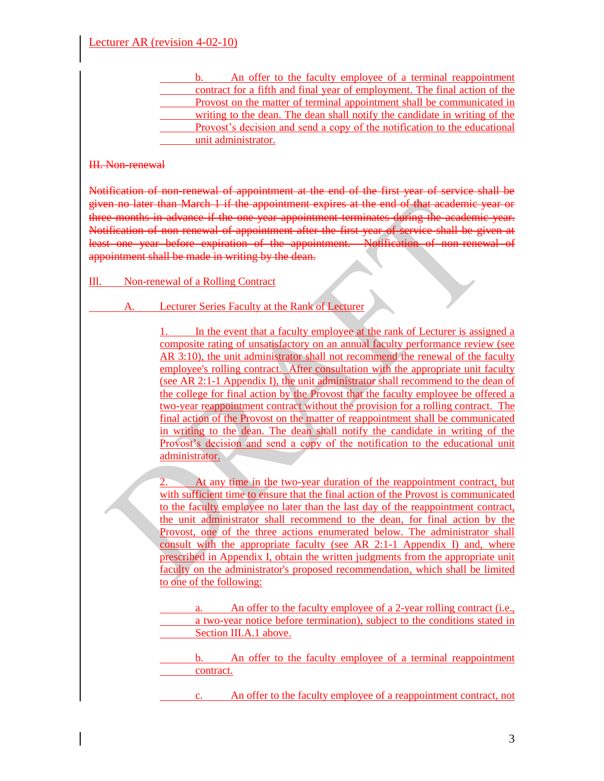### Lecturer AR (revision 4-02-10)

b. An offer to the faculty employee of a terminal reappointment contract for a fifth and final year of employment. The final action of the Provost on the matter of terminal appointment shall be communicated in writing to the dean. The dean shall notify the candidate in writing of the Provost's decision and send a copy of the notification to the educational unit administrator.

### III. Non-renewal

Notification of non-renewal of appointment at the end of the first year of service shall be given no later than March 1 if the appointment expires at the end of that academic year or three months in advance if the one year appointment terminates during the academic year. Notification of non-renewal of appointment after the first year of service shall be given at least one year before expiration of the appointment. Notification of non-renewal of appointment shall be made in writing by the dean.

### IIl. Non-renewal of a Rolling Contract

# A. Lecturer Series Faculty at the Rank of Lecturer

1. In the event that a faculty employee at the rank of Lecturer is assigned a composite rating of unsatisfactory on an annual faculty performance review (see AR 3:10), the unit administrator shall not recommend the renewal of the faculty employee's rolling contract. After consultation with the appropriate unit faculty (see AR 2:1-1 Appendix I), the unit administrator shall recommend to the dean of the college for final action by the Provost that the faculty employee be offered a two-year reappointment contract without the provision for a rolling contract. The final action of the Provost on the matter of reappointment shall be communicated in writing to the dean. The dean shall notify the candidate in writing of the Provost's decision and send a copy of the notification to the educational unit administrator.

2. At any time in the two-year duration of the reappointment contract, but with sufficient time to ensure that the final action of the Provost is communicated to the faculty employee no later than the last day of the reappointment contract, the unit administrator shall recommend to the dean, for final action by the Provost, one of the three actions enumerated below. The administrator shall consult with the appropriate faculty (see AR 2:1-1 Appendix I) and, where prescribed in Appendix I, obtain the written judgments from the appropriate unit faculty on the administrator's proposed recommendation, which shall be limited to one of the following:

a. An offer to the faculty employee of a 2-year rolling contract (i.e., a two-year notice before termination), subject to the conditions stated in Section III.A.1 above.

b. An offer to the faculty employee of a terminal reappointment contract.

c. An offer to the faculty employee of a reappointment contract, not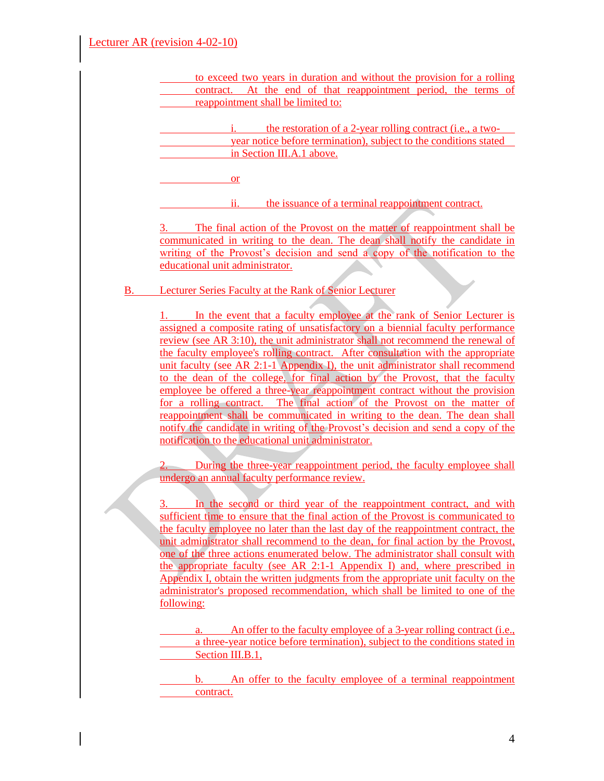|    | Lecturer AR (revision 4-02-10)                                                                                                                                     |
|----|--------------------------------------------------------------------------------------------------------------------------------------------------------------------|
|    |                                                                                                                                                                    |
|    | to exceed two years in duration and without the provision for a rolling<br>contract. At the end of that reappointment period, the terms of                         |
|    | reappointment shall be limited to:                                                                                                                                 |
|    |                                                                                                                                                                    |
|    | the restoration of a 2-year rolling contract ( <i>i.e.</i> , a two-                                                                                                |
|    | year notice before termination), subject to the conditions stated<br>in Section III.A.1 above.                                                                     |
|    |                                                                                                                                                                    |
|    | <b>or</b>                                                                                                                                                          |
|    | ii.<br>the issuance of a terminal reappointment contract.                                                                                                          |
|    | The final action of the Provost on the matter of reappointment shall be<br>3.                                                                                      |
|    | communicated in writing to the dean. The dean shall notify the candidate in                                                                                        |
|    | writing of the Provost's decision and send a copy of the notification to the                                                                                       |
|    | educational unit administrator.                                                                                                                                    |
| В. | Lecturer Series Faculty at the Rank of Senior Lecturer                                                                                                             |
|    |                                                                                                                                                                    |
|    | In the event that a faculty employee at the rank of Senior Lecturer is                                                                                             |
|    | assigned a composite rating of unsatisfactory on a biennial faculty performance<br>review (see AR 3:10), the unit administrator shall not recommend the renewal of |
|    | the faculty employee's rolling contract. After consultation with the appropriate                                                                                   |
|    | unit faculty (see AR 2:1-1 Appendix I), the unit administrator shall recommend                                                                                     |
|    | to the dean of the college, for final action by the Provost, that the faculty                                                                                      |
|    | employee be offered a three-year reappointment contract without the provision                                                                                      |
|    | for a rolling contract. The final action of the Provost on the matter of                                                                                           |
|    | reappointment shall be communicated in writing to the dean. The dean shall                                                                                         |
|    | notify the candidate in writing of the Provost's decision and send a copy of the<br>notification to the educational unit administrator.                            |
|    |                                                                                                                                                                    |
|    | 2. During the three-year reappointment period, the faculty employee shall                                                                                          |
|    | undergo an annual faculty performance review.                                                                                                                      |
|    |                                                                                                                                                                    |
|    | In the second or third year of the reappointment contract, and with<br>3.<br>sufficient time to ensure that the final action of the Provost is communicated to     |
|    | the faculty employee no later than the last day of the reappointment contract, the                                                                                 |
|    | unit administrator shall recommend to the dean, for final action by the Provost,                                                                                   |
|    | one of the three actions enumerated below. The administrator shall consult with                                                                                    |
|    | the appropriate faculty (see AR 2:1-1 Appendix I) and, where prescribed in                                                                                         |
|    | Appendix I, obtain the written judgments from the appropriate unit faculty on the                                                                                  |
|    | administrator's proposed recommendation, which shall be limited to one of the                                                                                      |
|    | following:                                                                                                                                                         |
|    | An offer to the faculty employee of a 3-year rolling contract (i.e.,                                                                                               |
|    | a three-year notice before termination), subject to the conditions stated in                                                                                       |
|    | Section III.B.1,                                                                                                                                                   |
|    |                                                                                                                                                                    |
|    | An offer to the faculty employee of a terminal reappointment<br>$\mathbf{b}$ ,<br>contract.                                                                        |
|    |                                                                                                                                                                    |
|    |                                                                                                                                                                    |
|    |                                                                                                                                                                    |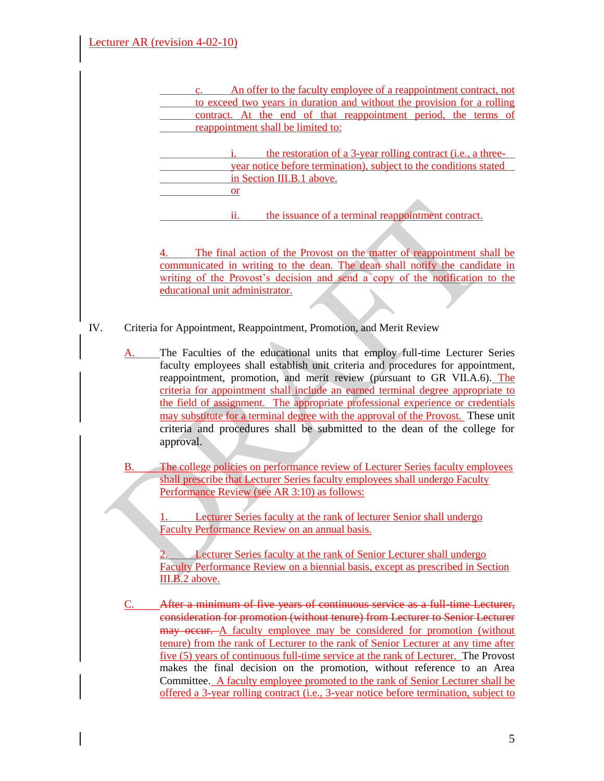| Lecturer AR (revision 4-02-10) |                                                                                                                                                                                                                                                                                                                                                                                                                                                                                                                                                                                                                                                                                   |  |
|--------------------------------|-----------------------------------------------------------------------------------------------------------------------------------------------------------------------------------------------------------------------------------------------------------------------------------------------------------------------------------------------------------------------------------------------------------------------------------------------------------------------------------------------------------------------------------------------------------------------------------------------------------------------------------------------------------------------------------|--|
|                                | An offer to the faculty employee of a reappointment contract, not<br>to exceed two years in duration and without the provision for a rolling<br>contract. At the end of that reappointment period, the terms of<br>reappointment shall be limited to:<br>the restoration of a 3-year rolling contract (i.e., a three-                                                                                                                                                                                                                                                                                                                                                             |  |
|                                | year notice before termination), subject to the conditions stated<br>in Section III.B.1 above.<br><sub>or</sub>                                                                                                                                                                                                                                                                                                                                                                                                                                                                                                                                                                   |  |
|                                | the issuance of a terminal reappointment contract.<br>ii.<br>The final action of the Provost on the matter of reappointment shall be<br>communicated in writing to the dean. The dean shall notify the candidate in                                                                                                                                                                                                                                                                                                                                                                                                                                                               |  |
|                                | writing of the Provost's decision and send a copy of the notification to the<br>educational unit administrator.                                                                                                                                                                                                                                                                                                                                                                                                                                                                                                                                                                   |  |
| IV.                            | Criteria for Appointment, Reappointment, Promotion, and Merit Review                                                                                                                                                                                                                                                                                                                                                                                                                                                                                                                                                                                                              |  |
|                                | The Faculties of the educational units that employ full-time Lecturer Series<br>faculty employees shall establish unit criteria and procedures for appointment,<br>reappointment, promotion, and merit review (pursuant to GR VII.A.6). The<br>criteria for appointment shall include an earned terminal degree appropriate to<br>the field of assignment. The appropriate professional experience or credentials<br>may substitute for a terminal degree with the approval of the Provost. These unit<br>criteria and procedures shall be submitted to the dean of the college for<br>approval.                                                                                  |  |
| В.                             | The college policies on performance review of Lecturer Series faculty employees<br>shall prescribe that Lecturer Series faculty employees shall undergo Faculty<br>Performance Review (see AR 3:10) as follows:                                                                                                                                                                                                                                                                                                                                                                                                                                                                   |  |
|                                | Lecturer Series faculty at the rank of lecturer Senior shall undergo<br>Faculty Performance Review on an annual basis.<br>Lecturer Series faculty at the rank of Senior Lecturer shall undergo                                                                                                                                                                                                                                                                                                                                                                                                                                                                                    |  |
|                                | <b>Faculty Performance Review on a biennial basis, except as prescribed in Section</b><br>III.B.2 above.                                                                                                                                                                                                                                                                                                                                                                                                                                                                                                                                                                          |  |
|                                | After a minimum of five years of continuous service as a full time Lecturer,<br>consideration for promotion (without tenure) from Lecturer to Senior Lecturer<br>may occur. A faculty employee may be considered for promotion (without<br>tenure) from the rank of Lecturer to the rank of Senior Lecturer at any time after<br><u>five (5)</u> years of continuous full-time service at the rank of Lecturer. The Provost<br>makes the final decision on the promotion, without reference to an Area<br>Committee. A faculty employee promoted to the rank of Senior Lecturer shall be<br>offered a 3-year rolling contract (i.e., 3-year notice before termination, subject to |  |

 $\overline{\phantom{a}}$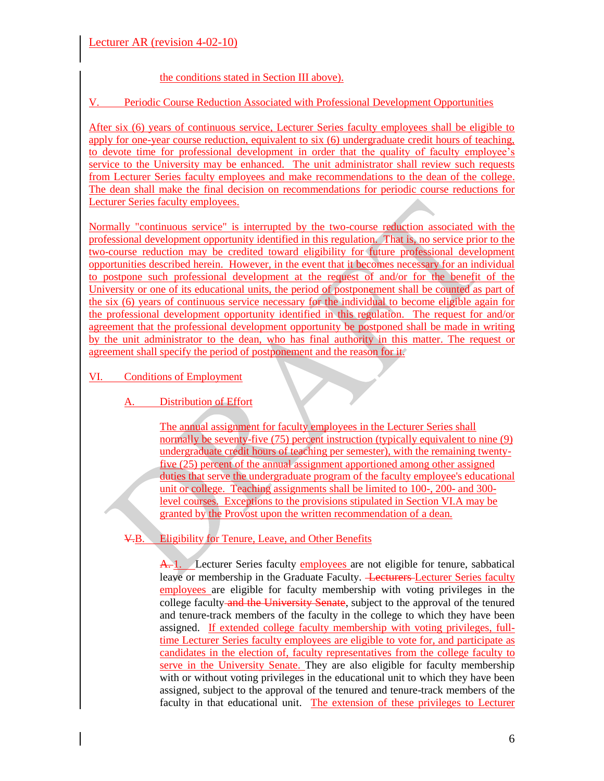# the conditions stated in Section III above).

V. Periodic Course Reduction Associated with Professional Development Opportunities

After six (6) years of continuous service, Lecturer Series faculty employees shall be eligible to apply for one-year course reduction, equivalent to six (6) undergraduate credit hours of teaching, to devote time for professional development in order that the quality of faculty employee's service to the University may be enhanced. The unit administrator shall review such requests from Lecturer Series faculty employees and make recommendations to the dean of the college. The dean shall make the final decision on recommendations for periodic course reductions for Lecturer Series faculty employees.

Normally "continuous service" is interrupted by the two-course reduction associated with the professional development opportunity identified in this regulation. That is, no service prior to the two-course reduction may be credited toward eligibility for future professional development opportunities described herein. However, in the event that it becomes necessary for an individual to postpone such professional development at the request of and/or for the benefit of the University or one of its educational units, the period of postponement shall be counted as part of the six (6) years of continuous service necessary for the individual to become eligible again for the professional development opportunity identified in this regulation. The request for and/or agreement that the professional development opportunity be postponed shall be made in writing by the unit administrator to the dean, who has final authority in this matter. The request or agreement shall specify the period of postponement and the reason for it.

VI. Conditions of Employment

A. Distribution of Effort

The annual assignment for faculty employees in the Lecturer Series shall normally be seventy-five (75) percent instruction (typically equivalent to nine (9) undergraduate credit hours of teaching per semester), with the remaining twentyfive (25) percent of the annual assignment apportioned among other assigned duties that serve the undergraduate program of the faculty employee's educational unit or college. Teaching assignments shall be limited to 100-, 200- and 300 level courses. Exceptions to the provisions stipulated in Section VI.A may be granted by the Provost upon the written recommendation of a dean.

V.B. Eligibility for Tenure, Leave, and Other Benefits

A. 1. Lecturer Series faculty employees are not eligible for tenure, sabbatical leave or membership in the Graduate Faculty. <del>Lecturers Lecturer</del> Series faculty employees are eligible for faculty membership with voting privileges in the college faculty-and the University Senate, subject to the approval of the tenured and tenure-track members of the faculty in the college to which they have been assigned. If extended college faculty membership with voting privileges, fulltime Lecturer Series faculty employees are eligible to vote for, and participate as candidates in the election of, faculty representatives from the college faculty to serve in the University Senate. They are also eligible for faculty membership with or without voting privileges in the educational unit to which they have been assigned, subject to the approval of the tenured and tenure-track members of the faculty in that educational unit. The extension of these privileges to Lecturer